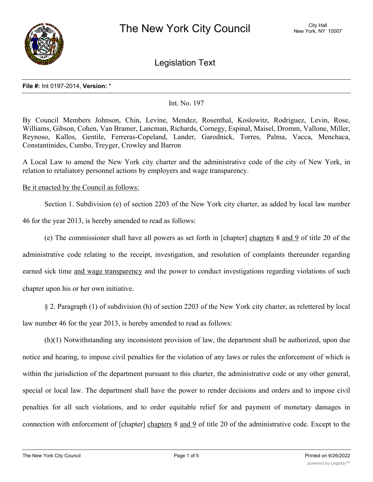

Legislation Text

#### **File #:** Int 0197-2014, **Version:** \*

# Int. No. 197

By Council Members Johnson, Chin, Levine, Mendez, Rosenthal, Koslowitz, Rodriguez, Levin, Rose, Williams, Gibson, Cohen, Van Bramer, Lancman, Richards, Cornegy, Espinal, Maisel, Dromm, Vallone, Miller, Reynoso, Kallos, Gentile, Ferreras-Copeland, Lander, Garodnick, Torres, Palma, Vacca, Menchaca, Constantinides, Cumbo, Treyger, Crowley and Barron

A Local Law to amend the New York city charter and the administrative code of the city of New York, in relation to retaliatory personnel actions by employers and wage transparency.

# Be it enacted by the Council as follows:

Section 1. Subdivision (e) of section 2203 of the New York city charter, as added by local law number 46 for the year 2013, is hereby amended to read as follows:

(e) The commissioner shall have all powers as set forth in [chapter] chapters 8 and 9 of title 20 of the administrative code relating to the receipt, investigation, and resolution of complaints thereunder regarding earned sick time and wage transparency and the power to conduct investigations regarding violations of such chapter upon his or her own initiative.

§ 2. Paragraph (1) of subdivision (h) of section 2203 of the New York city charter, as relettered by local law number 46 for the year 2013, is hereby amended to read as follows:

(h)(1) Notwithstanding any inconsistent provision of law, the department shall be authorized, upon due notice and hearing, to impose civil penalties for the violation of any laws or rules the enforcement of which is within the jurisdiction of the department pursuant to this charter, the administrative code or any other general, special or local law. The department shall have the power to render decisions and orders and to impose civil penalties for all such violations, and to order equitable relief for and payment of monetary damages in connection with enforcement of [chapter] chapters 8 and 9 of title 20 of the administrative code. Except to the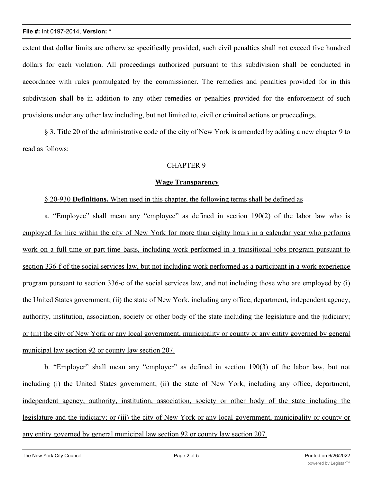extent that dollar limits are otherwise specifically provided, such civil penalties shall not exceed five hundred dollars for each violation. All proceedings authorized pursuant to this subdivision shall be conducted in accordance with rules promulgated by the commissioner. The remedies and penalties provided for in this subdivision shall be in addition to any other remedies or penalties provided for the enforcement of such provisions under any other law including, but not limited to, civil or criminal actions or proceedings.

§ 3. Title 20 of the administrative code of the city of New York is amended by adding a new chapter 9 to read as follows:

# CHAPTER 9

# **Wage Transparency**

§ 20-930 **Definitions.** When used in this chapter, the following terms shall be defined as

a. "Employee" shall mean any "employee" as defined in section 190(2) of the labor law who is employed for hire within the city of New York for more than eighty hours in a calendar year who performs work on a full-time or part-time basis, including work performed in a transitional jobs program pursuant to section 336-f of the social services law, but not including work performed as a participant in a work experience program pursuant to section 336-c of the social services law, and not including those who are employed by (i) the United States government; (ii) the state of New York, including any office, department, independent agency, authority, institution, association, society or other body of the state including the legislature and the judiciary; or (iii) the city of New York or any local government, municipality or county or any entity governed by general municipal law section 92 or county law section 207.

b. "Employer" shall mean any "employer" as defined in section 190(3) of the labor law, but not including (i) the United States government; (ii) the state of New York, including any office, department, independent agency, authority, institution, association, society or other body of the state including the legislature and the judiciary; or (iii) the city of New York or any local government, municipality or county or any entity governed by general municipal law section 92 or county law section 207.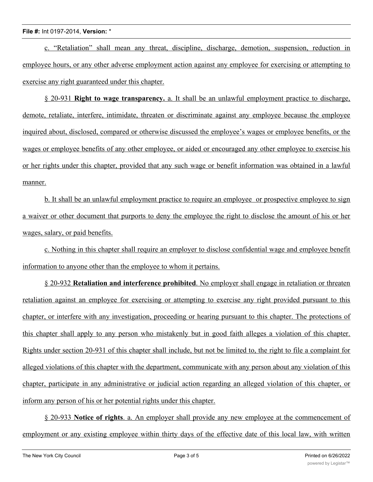c. "Retaliation" shall mean any threat, discipline, discharge, demotion, suspension, reduction in employee hours, or any other adverse employment action against any employee for exercising or attempting to exercise any right guaranteed under this chapter.

§ 20-931 **Right to wage transparency.** a. It shall be an unlawful employment practice to discharge, demote, retaliate, interfere, intimidate, threaten or discriminate against any employee because the employee inquired about, disclosed, compared or otherwise discussed the employee's wages or employee benefits, or the wages or employee benefits of any other employee, or aided or encouraged any other employee to exercise his or her rights under this chapter, provided that any such wage or benefit information was obtained in a lawful manner.

b. It shall be an unlawful employment practice to require an employee or prospective employee to sign a waiver or other document that purports to deny the employee the right to disclose the amount of his or her wages, salary, or paid benefits.

c. Nothing in this chapter shall require an employer to disclose confidential wage and employee benefit information to anyone other than the employee to whom it pertains.

§ 20-932 **Retaliation and interference prohibited**. No employer shall engage in retaliation or threaten retaliation against an employee for exercising or attempting to exercise any right provided pursuant to this chapter, or interfere with any investigation, proceeding or hearing pursuant to this chapter. The protections of this chapter shall apply to any person who mistakenly but in good faith alleges a violation of this chapter. Rights under section 20-931 of this chapter shall include, but not be limited to, the right to file a complaint for alleged violations of this chapter with the department, communicate with any person about any violation of this chapter, participate in any administrative or judicial action regarding an alleged violation of this chapter, or inform any person of his or her potential rights under this chapter.

§ 20-933 **Notice of rights**. a. An employer shall provide any new employee at the commencement of employment or any existing employee within thirty days of the effective date of this local law, with written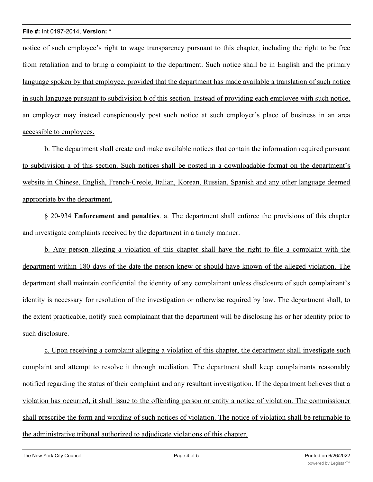notice of such employee's right to wage transparency pursuant to this chapter, including the right to be free from retaliation and to bring a complaint to the department. Such notice shall be in English and the primary language spoken by that employee, provided that the department has made available a translation of such notice in such language pursuant to subdivision b of this section. Instead of providing each employee with such notice, an employer may instead conspicuously post such notice at such employer's place of business in an area accessible to employees.

b. The department shall create and make available notices that contain the information required pursuant to subdivision a of this section. Such notices shall be posted in a downloadable format on the department's website in Chinese, English, French-Creole, Italian, Korean, Russian, Spanish and any other language deemed appropriate by the department.

§ 20-934 **Enforcement and penalties**. a. The department shall enforce the provisions of this chapter and investigate complaints received by the department in a timely manner.

b. Any person alleging a violation of this chapter shall have the right to file a complaint with the department within 180 days of the date the person knew or should have known of the alleged violation. The department shall maintain confidential the identity of any complainant unless disclosure of such complainant's identity is necessary for resolution of the investigation or otherwise required by law. The department shall, to the extent practicable, notify such complainant that the department will be disclosing his or her identity prior to such disclosure.

c. Upon receiving a complaint alleging a violation of this chapter, the department shall investigate such complaint and attempt to resolve it through mediation. The department shall keep complainants reasonably notified regarding the status of their complaint and any resultant investigation. If the department believes that a violation has occurred, it shall issue to the offending person or entity a notice of violation. The commissioner shall prescribe the form and wording of such notices of violation. The notice of violation shall be returnable to the administrative tribunal authorized to adjudicate violations of this chapter.